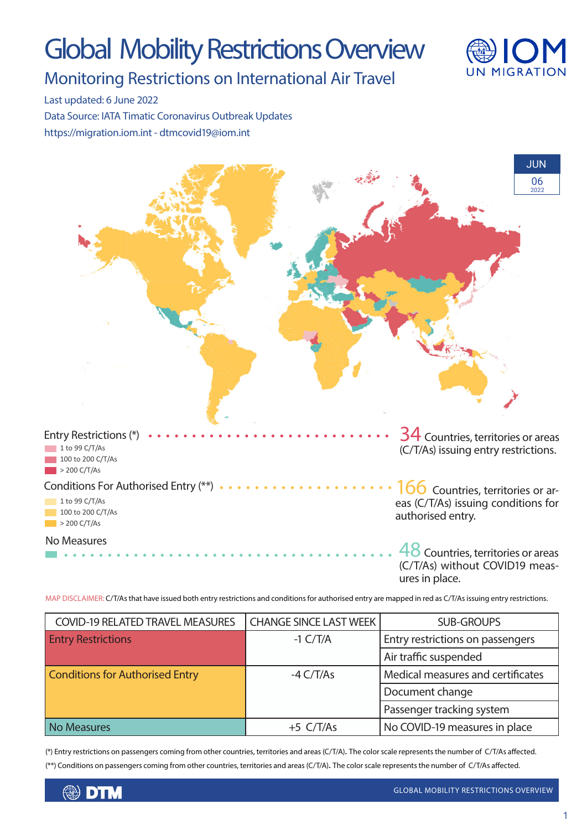# Global Mobility Restrictions Overview



### Monitoring Restrictions on International Air Travel

Last updated: 6 June 2022

Data Source: IATA Timatic Coronavirus Outbreak Updates https://migration.iom.int - dtmcovid19@iom.int



MAP DISCLAIMER: C/T/As that have issued both entry restrictions and conditions for authorised entry are mapped in red as C/T/As issuing entry restrictions.

| <b>COVID-19 RELATED TRAVEL MEASURES</b> | <b>CHANGE SINCE LAST WEEK</b> | <b>SUB-GROUPS</b>                 |
|-----------------------------------------|-------------------------------|-----------------------------------|
| <b>Entry Restrictions</b>               | $-1 C/T/A$                    | Entry restrictions on passengers  |
|                                         |                               | Air traffic suspended             |
| <b>Conditions for Authorised Entry</b>  | $-4 \frac{C}{T/As}$           | Medical measures and certificates |
|                                         |                               | Document change                   |
|                                         |                               | Passenger tracking system         |
| <b>No Measures</b>                      | $+5$ C/T/As                   | No COVID-19 measures in place     |

(\*) Entry restrictions on passengers coming from other countries, territories and areas (C/T/A). The color scale represents the number of C/T/As affected. (\*\*) Conditions on passengers coming from other countries, territories and areas (C/T/A). The color scale represents the number of C/T/As affected.

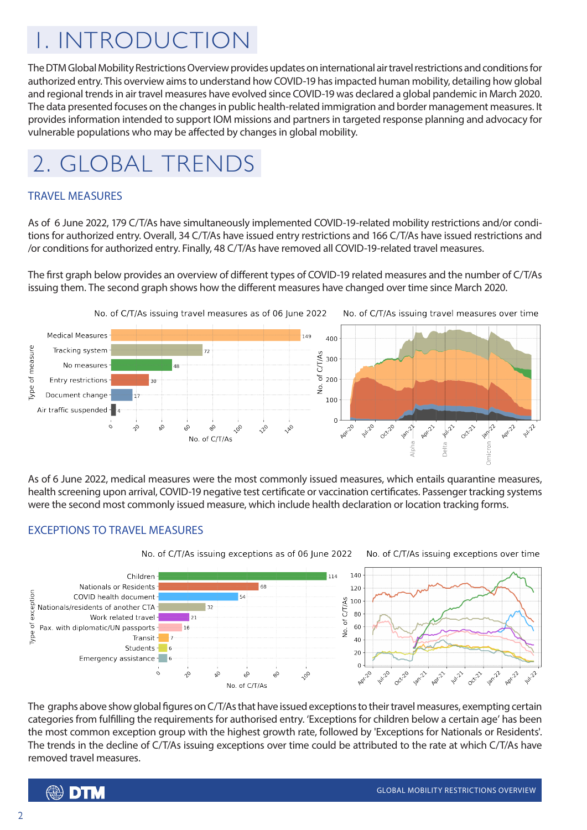## 1. INTRODUCTION

The DTM Global Mobility Restrictions Overview provides updates on international air travel restrictions and conditions for authorized entry. This overview aims to understand how COVID-19 has impacted human mobility, detailing how global and regional trends in air travel measures have evolved since COVID-19 was declared a global pandemic in March 2020. The data presented focuses on the changes in public health-related immigration and border management measures. It provides information intended to support IOM missions and partners in targeted response planning and advocacy for vulnerable populations who may be affected by changes in global mobility.

### 2. GLOBAL TRENDS

#### TRAVEL MEASURES

As of 6 June 2022, 179 C/T/As have simultaneously implemented COVID-19-related mobility restrictions and/or conditions for authorized entry. Overall, 34 C/T/As have issued entry restrictions and 166 C/T/As have issued restrictions and /or conditions for authorized entry. Finally, 48 C/T/As have removed all COVID-19-related travel measures.

The first graph below provides an overview of different types of COVID-19 related measures and the number of C/T/As issuing them. The second graph shows how the different measures have changed over time since March 2020.



As of 6 June 2022, medical measures were the most commonly issued measures, which entails quarantine measures, health screening upon arrival, COVID-19 negative test certificate or vaccination certificates. Passenger tracking systems were the second most commonly issued measure, which include health declaration or location tracking forms.

#### EXCEPTIONS TO TRAVEL MEASURES



The graphs above show global figures on C/T/As that have issued exceptions to their travel measures, exempting certain categories from fulfilling the requirements for authorised entry. 'Exceptions for children below a certain age' has been the most common exception group with the highest growth rate, followed by 'Exceptions for Nationals or Residents'. The trends in the decline of C/T/As issuing exceptions over time could be attributed to the rate at which C/T/As have removed travel measures.